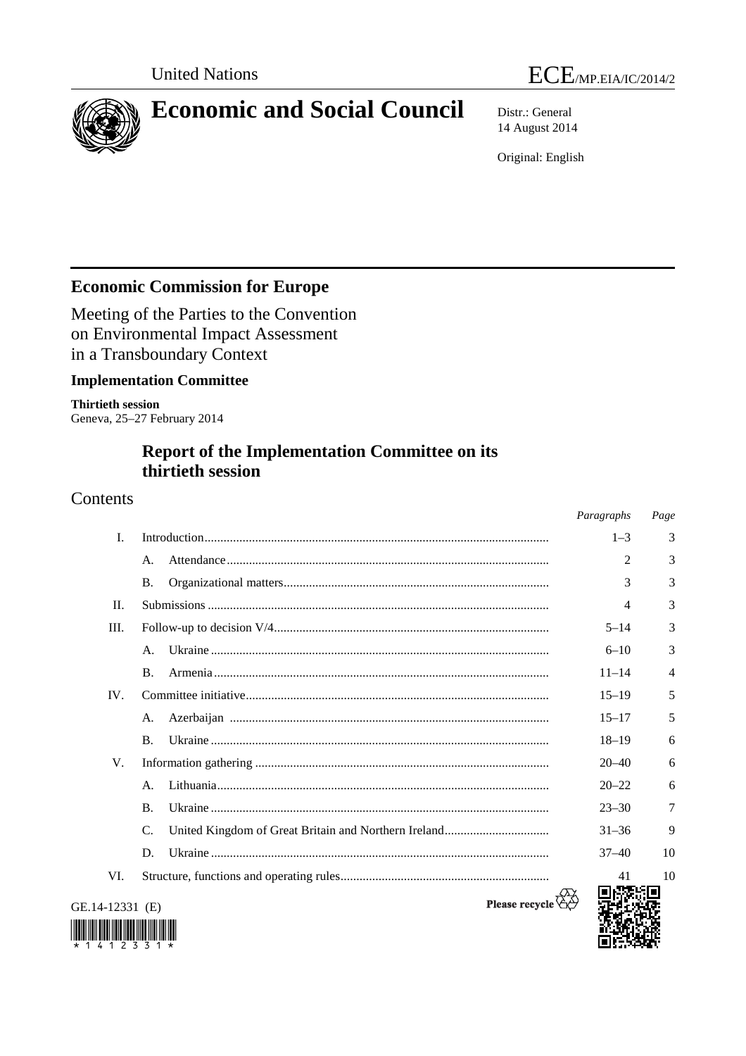



# **Economic and Social Council** Distr.: General

14 August 2014

Original: English

# **Economic Commission for Europe**

Meeting of the Parties to the Convention on Environmental Impact Assessment in a Transboundary Context

### **Implementation Committee**

**Thirtieth session**  Geneva, 25–27 February 2014

# **Report of the Implementation Committee on its thirtieth session**

### Contents

|                 |                | Paragraphs | Page |
|-----------------|----------------|------------|------|
| $\mathbf{I}$ .  |                | $1 - 3$    | 3    |
|                 | A.             | 2          | 3    |
|                 | B.             | 3          | 3    |
| II.             |                | 4          | 3    |
| Ш.              |                | $5 - 14$   | 3    |
|                 | А.             | $6 - 10$   | 3    |
|                 | <b>B.</b>      | $11 - 14$  | 4    |
| IV.             |                | $15 - 19$  | 5    |
|                 | A.             | $15 - 17$  | 5    |
|                 | <b>B.</b>      | $18 - 19$  | 6    |
| V.              |                | $20 - 40$  | 6    |
|                 | А.             | $20 - 22$  | 6    |
|                 | $\mathbf{B}$ . | $23 - 30$  | 7    |
|                 | C.             | $31 - 36$  | 9    |
|                 | D.             | $37 - 40$  | 10   |
| VI.             |                | 41         | 10   |
| GE.14-12331 (E) | Please recycle |            |      |



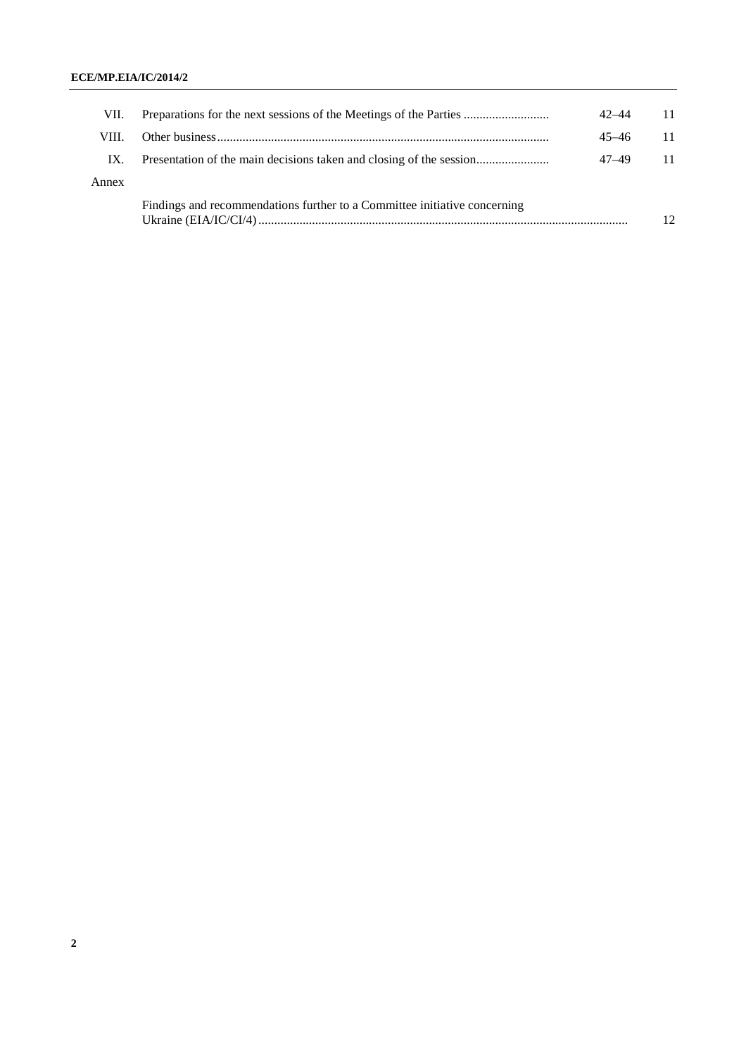### **ECE/MP.EIA/IC/2014/2**

| VII.  | Preparations for the next sessions of the Meetings of the Parties         | $42 - 44$ |    |
|-------|---------------------------------------------------------------------------|-----------|----|
| VIII. |                                                                           | $45 - 46$ |    |
| IX.   | Presentation of the main decisions taken and closing of the session       | 47–49     |    |
| Annex |                                                                           |           |    |
|       | Findings and recommendations further to a Committee initiative concerning |           | 12 |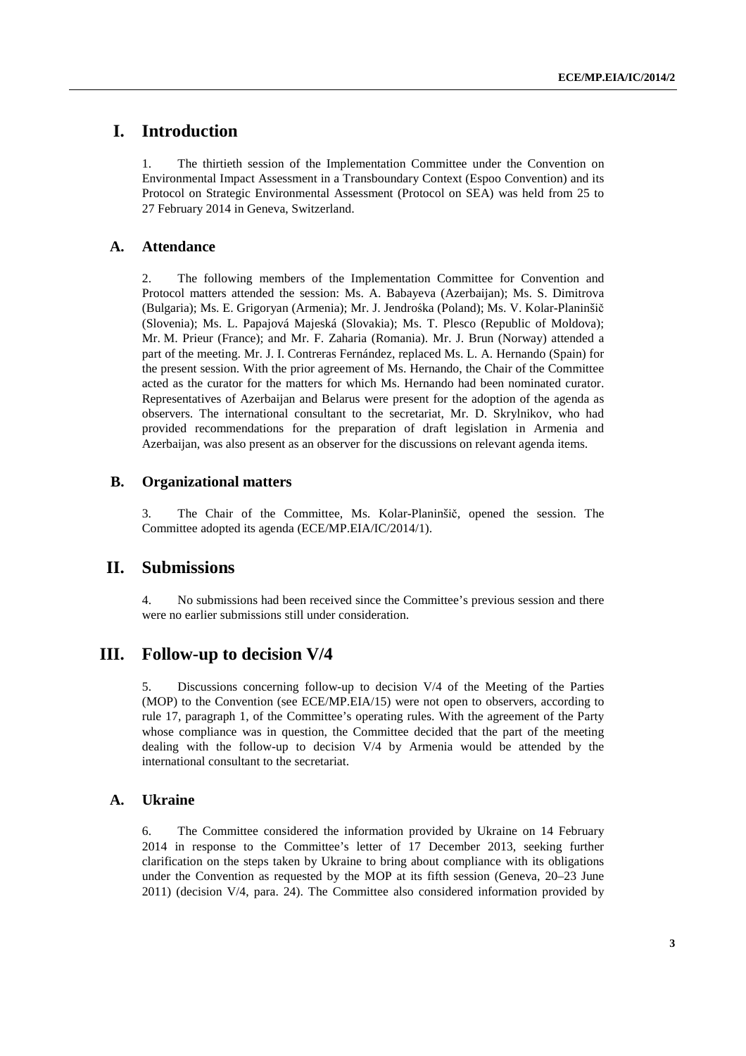# **I. Introduction**

1. The thirtieth session of the Implementation Committee under the Convention on Environmental Impact Assessment in a Transboundary Context (Espoo Convention) and its Protocol on Strategic Environmental Assessment (Protocol on SEA) was held from 25 to 27 February 2014 in Geneva, Switzerland.

### **A. Attendance**

2. The following members of the Implementation Committee for Convention and Protocol matters attended the session: Ms. A. Babayeva (Azerbaijan); Ms. S. Dimitrova (Bulgaria); Ms. E. Grigoryan (Armenia); Mr. J. Jendrośka (Poland); Ms. V. Kolar-Planinšič (Slovenia); Ms. L. Papajová Majeská (Slovakia); Ms. T. Plesco (Republic of Moldova); Mr. M. Prieur (France); and Mr. F. Zaharia (Romania). Mr. J. Brun (Norway) attended a part of the meeting. Mr. J. I. Contreras Fernández, replaced Ms. L. A. Hernando (Spain) for the present session. With the prior agreement of Ms. Hernando, the Chair of the Committee acted as the curator for the matters for which Ms. Hernando had been nominated curator. Representatives of Azerbaijan and Belarus were present for the adoption of the agenda as observers. The international consultant to the secretariat, Mr. D. Skrylnikov, who had provided recommendations for the preparation of draft legislation in Armenia and Azerbaijan, was also present as an observer for the discussions on relevant agenda items.

### **B. Organizational matters**

3. The Chair of the Committee, Ms. Kolar-Planinšič, opened the session. The Committee adopted its agenda (ECE/MP.EIA/IC/2014/1).

### **II. Submissions**

4. No submissions had been received since the Committee's previous session and there were no earlier submissions still under consideration.

### **III. Follow-up to decision V/4**

5. Discussions concerning follow-up to decision V/4 of the Meeting of the Parties (MOP) to the Convention (see ECE/MP.EIA/15) were not open to observers, according to rule 17, paragraph 1, of the Committee's operating rules. With the agreement of the Party whose compliance was in question, the Committee decided that the part of the meeting dealing with the follow-up to decision V/4 by Armenia would be attended by the international consultant to the secretariat.

### **A. Ukraine**

6. The Committee considered the information provided by Ukraine on 14 February 2014 in response to the Committee's letter of 17 December 2013, seeking further clarification on the steps taken by Ukraine to bring about compliance with its obligations under the Convention as requested by the MOP at its fifth session (Geneva, 20–23 June 2011) (decision V/4, para. 24). The Committee also considered information provided by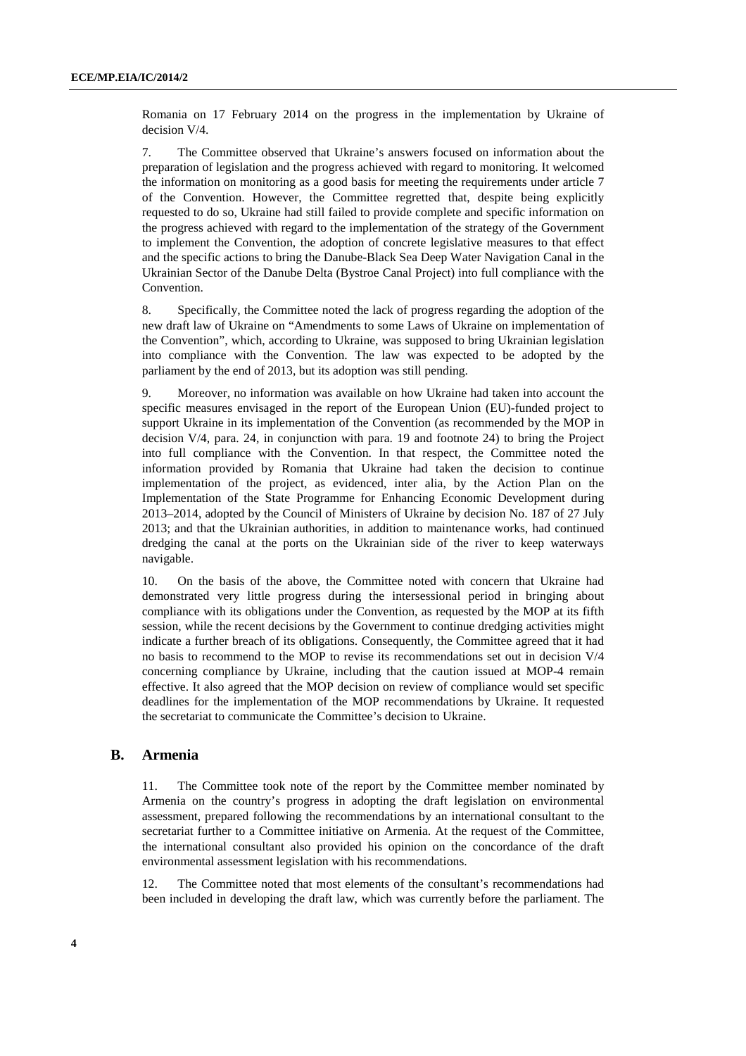Romania on 17 February 2014 on the progress in the implementation by Ukraine of decision V/4.

7. The Committee observed that Ukraine's answers focused on information about the preparation of legislation and the progress achieved with regard to monitoring. It welcomed the information on monitoring as a good basis for meeting the requirements under article 7 of the Convention. However, the Committee regretted that, despite being explicitly requested to do so, Ukraine had still failed to provide complete and specific information on the progress achieved with regard to the implementation of the strategy of the Government to implement the Convention, the adoption of concrete legislative measures to that effect and the specific actions to bring the Danube-Black Sea Deep Water Navigation Canal in the Ukrainian Sector of the Danube Delta (Bystroe Canal Project) into full compliance with the Convention.

8. Specifically, the Committee noted the lack of progress regarding the adoption of the new draft law of Ukraine on "Amendments to some Laws of Ukraine on implementation of the Convention", which, according to Ukraine, was supposed to bring Ukrainian legislation into compliance with the Convention. The law was expected to be adopted by the parliament by the end of 2013, but its adoption was still pending.

9. Moreover, no information was available on how Ukraine had taken into account the specific measures envisaged in the report of the European Union (EU)-funded project to support Ukraine in its implementation of the Convention (as recommended by the MOP in decision V/4, para. 24, in conjunction with para. 19 and footnote 24) to bring the Project into full compliance with the Convention. In that respect, the Committee noted the information provided by Romania that Ukraine had taken the decision to continue implementation of the project, as evidenced, inter alia, by the Action Plan on the Implementation of the State Programme for Enhancing Economic Development during 2013–2014, adopted by the Council of Ministers of Ukraine by decision No. 187 of 27 July 2013; and that the Ukrainian authorities, in addition to maintenance works, had continued dredging the canal at the ports on the Ukrainian side of the river to keep waterways navigable.

10. On the basis of the above, the Committee noted with concern that Ukraine had demonstrated very little progress during the intersessional period in bringing about compliance with its obligations under the Convention, as requested by the MOP at its fifth session, while the recent decisions by the Government to continue dredging activities might indicate a further breach of its obligations. Consequently, the Committee agreed that it had no basis to recommend to the MOP to revise its recommendations set out in decision V/4 concerning compliance by Ukraine, including that the caution issued at MOP-4 remain effective. It also agreed that the MOP decision on review of compliance would set specific deadlines for the implementation of the MOP recommendations by Ukraine. It requested the secretariat to communicate the Committee's decision to Ukraine.

### **B. Armenia**

11. The Committee took note of the report by the Committee member nominated by Armenia on the country's progress in adopting the draft legislation on environmental assessment, prepared following the recommendations by an international consultant to the secretariat further to a Committee initiative on Armenia. At the request of the Committee, the international consultant also provided his opinion on the concordance of the draft environmental assessment legislation with his recommendations.

12. The Committee noted that most elements of the consultant's recommendations had been included in developing the draft law, which was currently before the parliament. The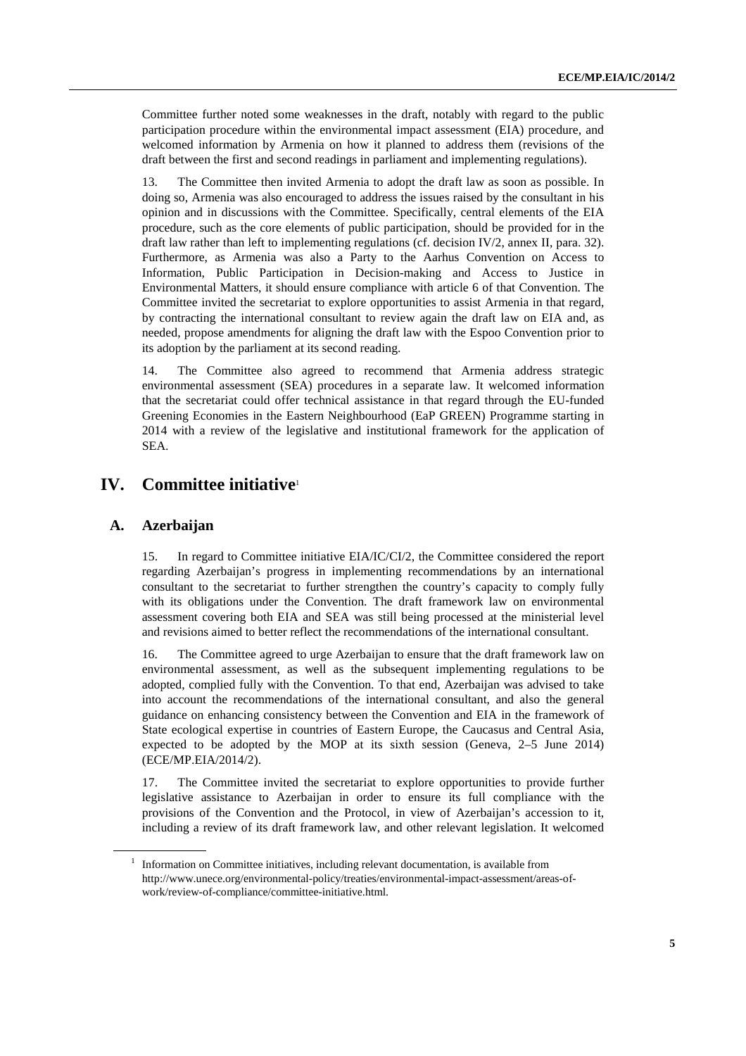Committee further noted some weaknesses in the draft, notably with regard to the public participation procedure within the environmental impact assessment (EIA) procedure, and welcomed information by Armenia on how it planned to address them (revisions of the draft between the first and second readings in parliament and implementing regulations).

13. The Committee then invited Armenia to adopt the draft law as soon as possible. In doing so, Armenia was also encouraged to address the issues raised by the consultant in his opinion and in discussions with the Committee. Specifically, central elements of the EIA procedure, such as the core elements of public participation, should be provided for in the draft law rather than left to implementing regulations (cf. decision IV/2, annex II, para. 32). Furthermore, as Armenia was also a Party to the Aarhus Convention on Access to Information, Public Participation in Decision-making and Access to Justice in Environmental Matters, it should ensure compliance with article 6 of that Convention. The Committee invited the secretariat to explore opportunities to assist Armenia in that regard, by contracting the international consultant to review again the draft law on EIA and, as needed, propose amendments for aligning the draft law with the Espoo Convention prior to its adoption by the parliament at its second reading.

14. The Committee also agreed to recommend that Armenia address strategic environmental assessment (SEA) procedures in a separate law. It welcomed information that the secretariat could offer technical assistance in that regard through the EU-funded Greening Economies in the Eastern Neighbourhood (EaP GREEN) Programme starting in 2014 with a review of the legislative and institutional framework for the application of SEA.

### **IV. Committee initiative**<sup>1</sup>

### **A. Azerbaijan**

15. In regard to Committee initiative EIA/IC/CI/2, the Committee considered the report regarding Azerbaijan's progress in implementing recommendations by an international consultant to the secretariat to further strengthen the country's capacity to comply fully with its obligations under the Convention. The draft framework law on environmental assessment covering both EIA and SEA was still being processed at the ministerial level and revisions aimed to better reflect the recommendations of the international consultant.

16. The Committee agreed to urge Azerbaijan to ensure that the draft framework law on environmental assessment, as well as the subsequent implementing regulations to be adopted, complied fully with the Convention. To that end, Azerbaijan was advised to take into account the recommendations of the international consultant, and also the general guidance on enhancing consistency between the Convention and EIA in the framework of State ecological expertise in countries of Eastern Europe, the Caucasus and Central Asia, expected to be adopted by the MOP at its sixth session (Geneva, 2–5 June 2014) (ECE/MP.EIA/2014/2).

17. The Committee invited the secretariat to explore opportunities to provide further legislative assistance to Azerbaijan in order to ensure its full compliance with the provisions of the Convention and the Protocol, in view of Azerbaijan's accession to it, including a review of its draft framework law, and other relevant legislation. It welcomed

<sup>1</sup> Information on Committee initiatives, including relevant documentation, is available from http://www.unece.org/environmental-policy/treaties/environmental-impact-assessment/areas-ofwork/review-of-compliance/committee-initiative.html.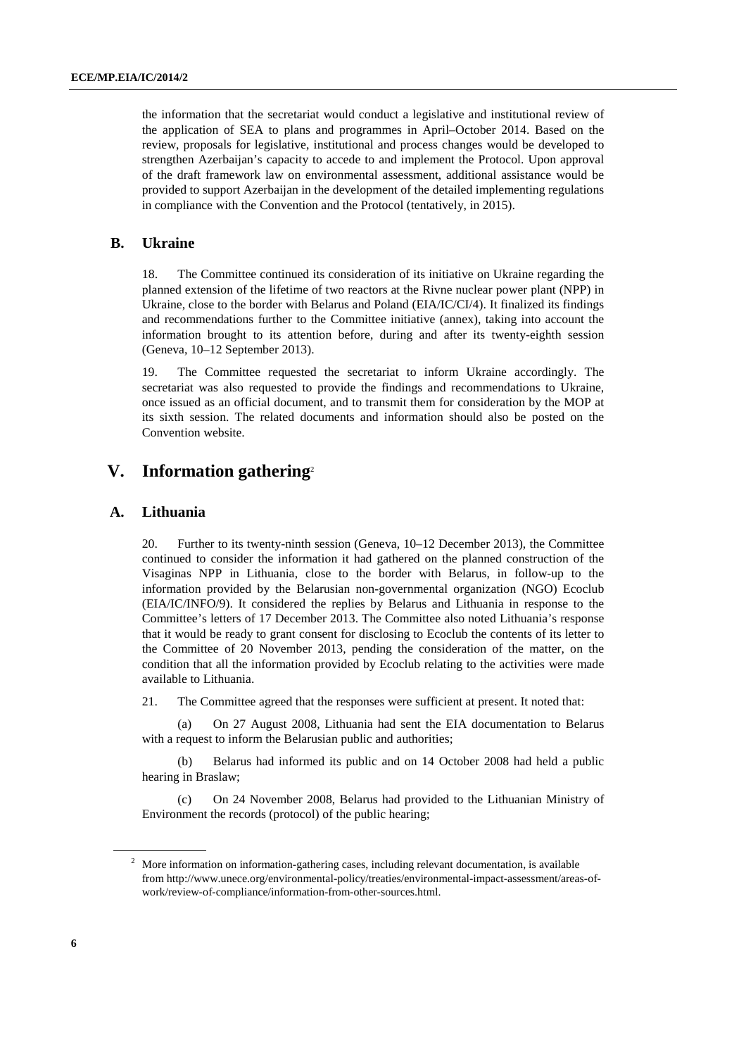the information that the secretariat would conduct a legislative and institutional review of the application of SEA to plans and programmes in April–October 2014. Based on the review, proposals for legislative, institutional and process changes would be developed to strengthen Azerbaijan's capacity to accede to and implement the Protocol. Upon approval of the draft framework law on environmental assessment, additional assistance would be provided to support Azerbaijan in the development of the detailed implementing regulations in compliance with the Convention and the Protocol (tentatively, in 2015).

### **B. Ukraine**

18. The Committee continued its consideration of its initiative on Ukraine regarding the planned extension of the lifetime of two reactors at the Rivne nuclear power plant (NPP) in Ukraine, close to the border with Belarus and Poland (EIA/IC/CI/4). It finalized its findings and recommendations further to the Committee initiative (annex), taking into account the information brought to its attention before, during and after its twenty-eighth session (Geneva, 10–12 September 2013).

19. The Committee requested the secretariat to inform Ukraine accordingly. The secretariat was also requested to provide the findings and recommendations to Ukraine, once issued as an official document, and to transmit them for consideration by the MOP at its sixth session. The related documents and information should also be posted on the Convention website.

### **V. Information gathering**<sup>2</sup>

#### **A. Lithuania**

20. Further to its twenty-ninth session (Geneva, 10–12 December 2013), the Committee continued to consider the information it had gathered on the planned construction of the Visaginas NPP in Lithuania, close to the border with Belarus, in follow-up to the information provided by the Belarusian non-governmental organization (NGO) Ecoclub (EIA/IC/INFO/9). It considered the replies by Belarus and Lithuania in response to the Committee's letters of 17 December 2013. The Committee also noted Lithuania's response that it would be ready to grant consent for disclosing to Ecoclub the contents of its letter to the Committee of 20 November 2013, pending the consideration of the matter, on the condition that all the information provided by Ecoclub relating to the activities were made available to Lithuania.

21. The Committee agreed that the responses were sufficient at present. It noted that:

On 27 August 2008, Lithuania had sent the EIA documentation to Belarus with a request to inform the Belarusian public and authorities;

(b) Belarus had informed its public and on 14 October 2008 had held a public hearing in Braslaw;

(c) On 24 November 2008, Belarus had provided to the Lithuanian Ministry of Environment the records (protocol) of the public hearing;

 $2$  More information on information-gathering cases, including relevant documentation, is available from http://www.unece.org/environmental-policy/treaties/environmental-impact-assessment/areas-ofwork/review-of-compliance/information-from-other-sources.html.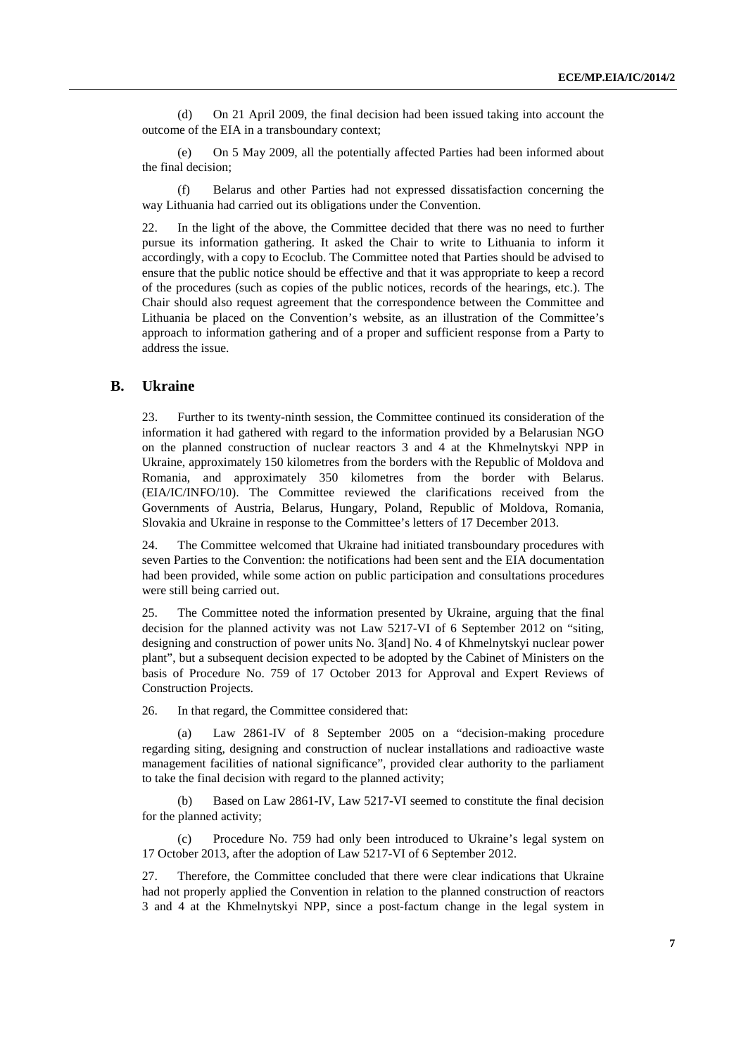(d) On 21 April 2009, the final decision had been issued taking into account the outcome of the EIA in a transboundary context;

(e) On 5 May 2009, all the potentially affected Parties had been informed about the final decision;

(f) Belarus and other Parties had not expressed dissatisfaction concerning the way Lithuania had carried out its obligations under the Convention.

22. In the light of the above, the Committee decided that there was no need to further pursue its information gathering. It asked the Chair to write to Lithuania to inform it accordingly, with a copy to Ecoclub. The Committee noted that Parties should be advised to ensure that the public notice should be effective and that it was appropriate to keep a record of the procedures (such as copies of the public notices, records of the hearings, etc.). The Chair should also request agreement that the correspondence between the Committee and Lithuania be placed on the Convention's website, as an illustration of the Committee's approach to information gathering and of a proper and sufficient response from a Party to address the issue.

#### **B. Ukraine**

23. Further to its twenty-ninth session, the Committee continued its consideration of the information it had gathered with regard to the information provided by a Belarusian NGO on the planned construction of nuclear reactors 3 and 4 at the Khmelnytskyi NPP in Ukraine, approximately 150 kilometres from the borders with the Republic of Moldova and Romania, and approximately 350 kilometres from the border with Belarus. (EIA/IC/INFO/10). The Committee reviewed the clarifications received from the Governments of Austria, Belarus, Hungary, Poland, Republic of Moldova, Romania, Slovakia and Ukraine in response to the Committee's letters of 17 December 2013.

24. The Committee welcomed that Ukraine had initiated transboundary procedures with seven Parties to the Convention: the notifications had been sent and the EIA documentation had been provided, while some action on public participation and consultations procedures were still being carried out.

25. The Committee noted the information presented by Ukraine, arguing that the final decision for the planned activity was not Law 5217-VI of 6 September 2012 on "siting, designing and construction of power units No. 3[and] No. 4 of Khmelnytskyi nuclear power plant", but a subsequent decision expected to be adopted by the Cabinet of Ministers on the basis of Procedure No. 759 of 17 October 2013 for Approval and Expert Reviews of Construction Projects.

26. In that regard, the Committee considered that:

(a) Law 2861-IV of 8 September 2005 on a "decision-making procedure regarding siting, designing and construction of nuclear installations and radioactive waste management facilities of national significance", provided clear authority to the parliament to take the final decision with regard to the planned activity;

(b) Based on Law 2861-IV, Law 5217-VI seemed to constitute the final decision for the planned activity;

(c) Procedure No. 759 had only been introduced to Ukraine's legal system on 17 October 2013, after the adoption of Law 5217-VI of 6 September 2012.

27. Therefore, the Committee concluded that there were clear indications that Ukraine had not properly applied the Convention in relation to the planned construction of reactors 3 and 4 at the Khmelnytskyi NPP, since a post-factum change in the legal system in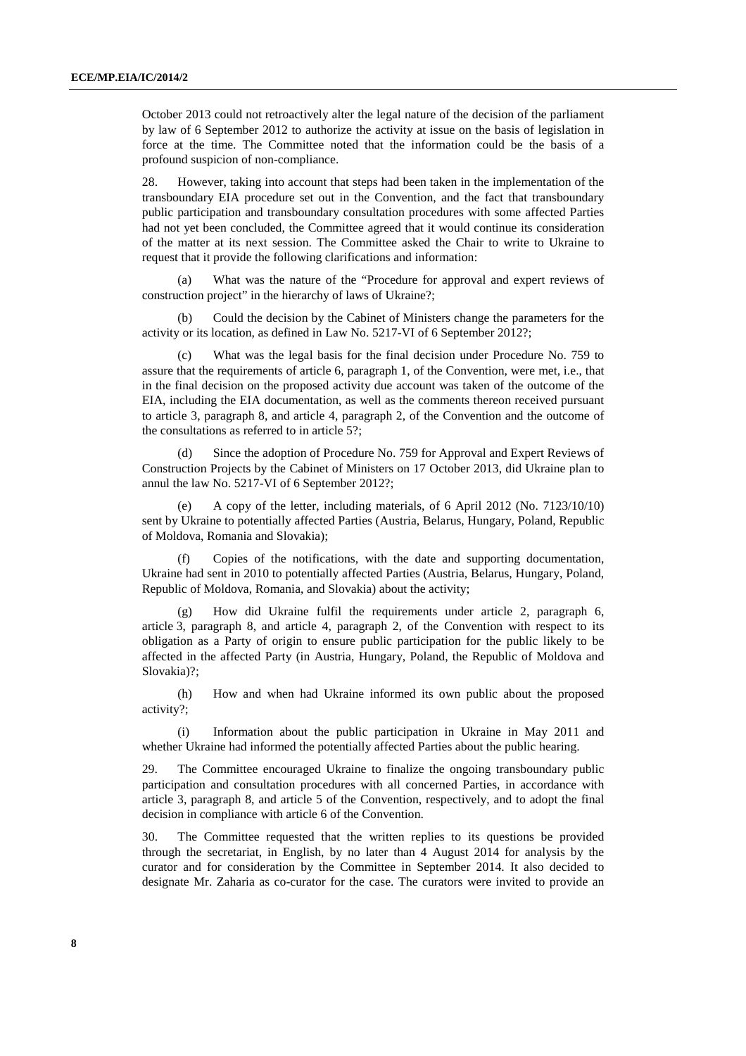October 2013 could not retroactively alter the legal nature of the decision of the parliament by law of 6 September 2012 to authorize the activity at issue on the basis of legislation in force at the time. The Committee noted that the information could be the basis of a profound suspicion of non-compliance.

28. However, taking into account that steps had been taken in the implementation of the transboundary EIA procedure set out in the Convention, and the fact that transboundary public participation and transboundary consultation procedures with some affected Parties had not yet been concluded, the Committee agreed that it would continue its consideration of the matter at its next session. The Committee asked the Chair to write to Ukraine to request that it provide the following clarifications and information:

(a) What was the nature of the "Procedure for approval and expert reviews of construction project" in the hierarchy of laws of Ukraine?;

(b) Could the decision by the Cabinet of Ministers change the parameters for the activity or its location, as defined in Law No. 5217-VI of 6 September 2012?;

What was the legal basis for the final decision under Procedure No. 759 to assure that the requirements of article 6, paragraph 1, of the Convention, were met, i.e., that in the final decision on the proposed activity due account was taken of the outcome of the EIA, including the EIA documentation, as well as the comments thereon received pursuant to article 3, paragraph 8, and article 4, paragraph 2, of the Convention and the outcome of the consultations as referred to in article 5?;

(d) Since the adoption of Procedure No. 759 for Approval and Expert Reviews of Construction Projects by the Cabinet of Ministers on 17 October 2013, did Ukraine plan to annul the law No. 5217-VI of 6 September 2012?;

A copy of the letter, including materials, of 6 April 2012 (No. 7123/10/10) sent by Ukraine to potentially affected Parties (Austria, Belarus, Hungary, Poland, Republic of Moldova, Romania and Slovakia);

Copies of the notifications, with the date and supporting documentation, Ukraine had sent in 2010 to potentially affected Parties (Austria, Belarus, Hungary, Poland, Republic of Moldova, Romania, and Slovakia) about the activity;

(g) How did Ukraine fulfil the requirements under article 2, paragraph 6, article 3, paragraph 8, and article 4, paragraph 2, of the Convention with respect to its obligation as a Party of origin to ensure public participation for the public likely to be affected in the affected Party (in Austria, Hungary, Poland, the Republic of Moldova and Slovakia)?;

(h) How and when had Ukraine informed its own public about the proposed activity?;

(i) Information about the public participation in Ukraine in May 2011 and whether Ukraine had informed the potentially affected Parties about the public hearing.

29. The Committee encouraged Ukraine to finalize the ongoing transboundary public participation and consultation procedures with all concerned Parties, in accordance with article 3, paragraph 8, and article 5 of the Convention, respectively, and to adopt the final decision in compliance with article 6 of the Convention.

30. The Committee requested that the written replies to its questions be provided through the secretariat, in English, by no later than 4 August 2014 for analysis by the curator and for consideration by the Committee in September 2014. It also decided to designate Mr. Zaharia as co-curator for the case. The curators were invited to provide an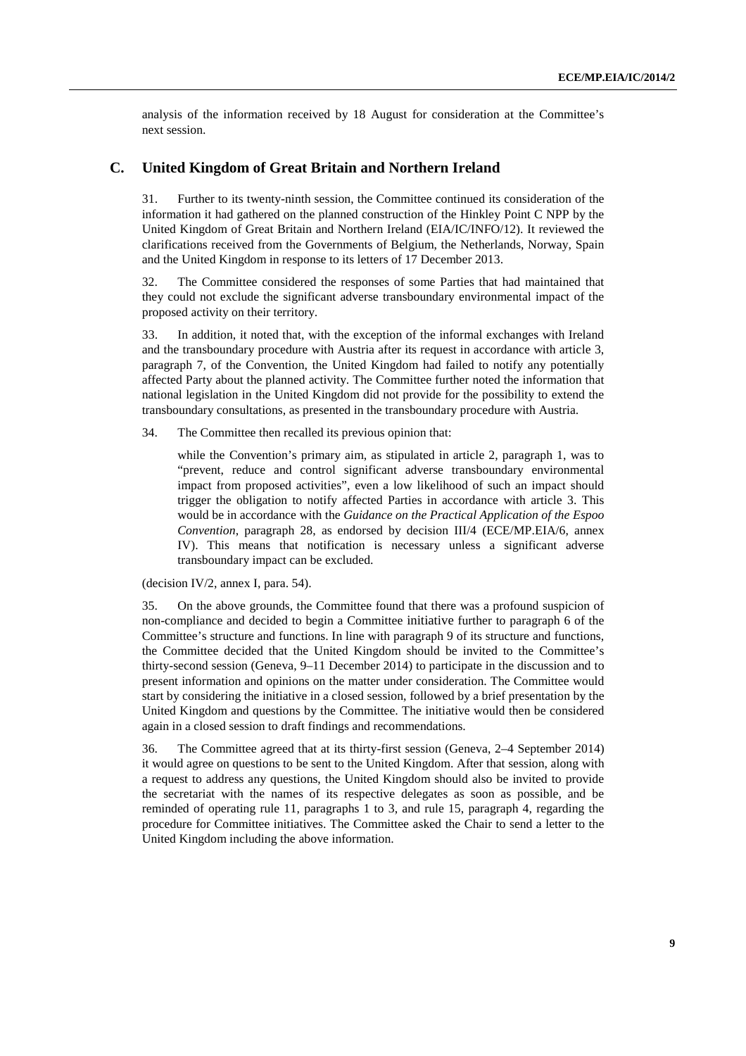analysis of the information received by 18 August for consideration at the Committee's next session.

### **C. United Kingdom of Great Britain and Northern Ireland**

31. Further to its twenty-ninth session, the Committee continued its consideration of the information it had gathered on the planned construction of the Hinkley Point C NPP by the United Kingdom of Great Britain and Northern Ireland (EIA/IC/INFO/12). It reviewed the clarifications received from the Governments of Belgium, the Netherlands, Norway, Spain and the United Kingdom in response to its letters of 17 December 2013.

32. The Committee considered the responses of some Parties that had maintained that they could not exclude the significant adverse transboundary environmental impact of the proposed activity on their territory.

33. In addition, it noted that, with the exception of the informal exchanges with Ireland and the transboundary procedure with Austria after its request in accordance with article 3, paragraph 7, of the Convention, the United Kingdom had failed to notify any potentially affected Party about the planned activity. The Committee further noted the information that national legislation in the United Kingdom did not provide for the possibility to extend the transboundary consultations, as presented in the transboundary procedure with Austria.

34. The Committee then recalled its previous opinion that:

 while the Convention's primary aim, as stipulated in article 2, paragraph 1, was to "prevent, reduce and control significant adverse transboundary environmental impact from proposed activities", even a low likelihood of such an impact should trigger the obligation to notify affected Parties in accordance with article 3. This would be in accordance with the *Guidance on the Practical Application of the Espoo Convention*, paragraph 28, as endorsed by decision III/4 (ECE/MP.EIA/6, annex IV). This means that notification is necessary unless a significant adverse transboundary impact can be excluded.

(decision IV/2, annex I, para. 54).

35. On the above grounds, the Committee found that there was a profound suspicion of non-compliance and decided to begin a Committee initiative further to paragraph 6 of the Committee's structure and functions. In line with paragraph 9 of its structure and functions, the Committee decided that the United Kingdom should be invited to the Committee's thirty-second session (Geneva, 9–11 December 2014) to participate in the discussion and to present information and opinions on the matter under consideration. The Committee would start by considering the initiative in a closed session, followed by a brief presentation by the United Kingdom and questions by the Committee. The initiative would then be considered again in a closed session to draft findings and recommendations.

36. The Committee agreed that at its thirty-first session (Geneva, 2–4 September 2014) it would agree on questions to be sent to the United Kingdom. After that session, along with a request to address any questions, the United Kingdom should also be invited to provide the secretariat with the names of its respective delegates as soon as possible, and be reminded of operating rule 11, paragraphs 1 to 3, and rule 15, paragraph 4, regarding the procedure for Committee initiatives. The Committee asked the Chair to send a letter to the United Kingdom including the above information.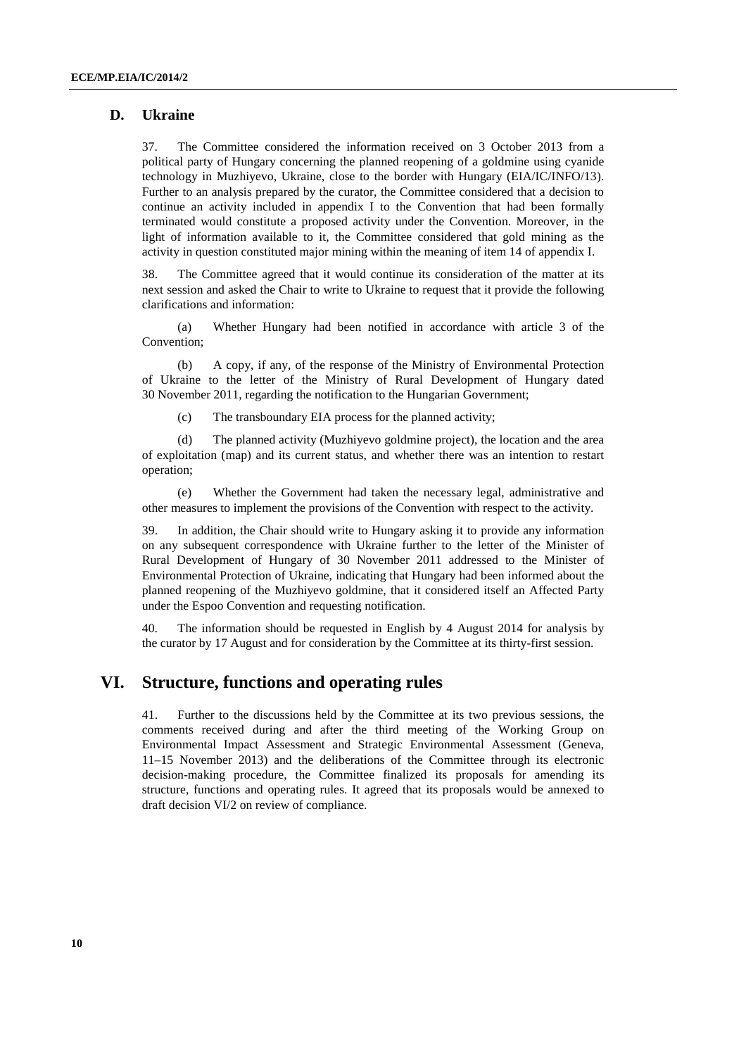### **D. Ukraine**

37. The Committee considered the information received on 3 October 2013 from a political party of Hungary concerning the planned reopening of a goldmine using cyanide technology in Muzhiyevo, Ukraine, close to the border with Hungary (EIA/IC/INFO/13). Further to an analysis prepared by the curator, the Committee considered that a decision to continue an activity included in appendix I to the Convention that had been formally terminated would constitute a proposed activity under the Convention. Moreover, in the light of information available to it, the Committee considered that gold mining as the activity in question constituted major mining within the meaning of item 14 of appendix I.

38. The Committee agreed that it would continue its consideration of the matter at its next session and asked the Chair to write to Ukraine to request that it provide the following clarifications and information:

(a) Whether Hungary had been notified in accordance with article 3 of the Convention;

(b) A copy, if any, of the response of the Ministry of Environmental Protection of Ukraine to the letter of the Ministry of Rural Development of Hungary dated 30 November 2011, regarding the notification to the Hungarian Government;

(c) The transboundary EIA process for the planned activity;

(d) The planned activity (Muzhiyevo goldmine project), the location and the area of exploitation (map) and its current status, and whether there was an intention to restart operation;

(e) Whether the Government had taken the necessary legal, administrative and other measures to implement the provisions of the Convention with respect to the activity.

39. In addition, the Chair should write to Hungary asking it to provide any information on any subsequent correspondence with Ukraine further to the letter of the Minister of Rural Development of Hungary of 30 November 2011 addressed to the Minister of Environmental Protection of Ukraine, indicating that Hungary had been informed about the planned reopening of the Muzhiyevo goldmine, that it considered itself an Affected Party under the Espoo Convention and requesting notification.

40. The information should be requested in English by 4 August 2014 for analysis by the curator by 17 August and for consideration by the Committee at its thirty-first session.

### **VI. Structure, functions and operating rules**

41. Further to the discussions held by the Committee at its two previous sessions, the comments received during and after the third meeting of the Working Group on Environmental Impact Assessment and Strategic Environmental Assessment (Geneva, 11–15 November 2013) and the deliberations of the Committee through its electronic decision-making procedure, the Committee finalized its proposals for amending its structure, functions and operating rules. It agreed that its proposals would be annexed to draft decision VI/2 on review of compliance.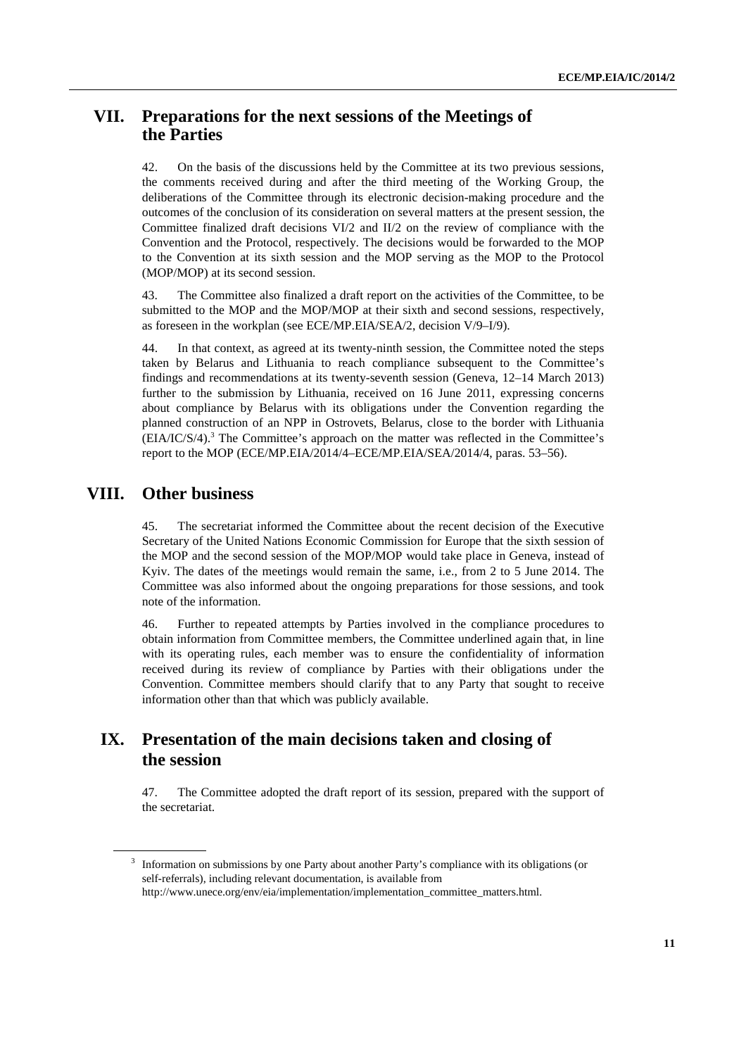### **VII. Preparations for the next sessions of the Meetings of the Parties**

42. On the basis of the discussions held by the Committee at its two previous sessions, the comments received during and after the third meeting of the Working Group, the deliberations of the Committee through its electronic decision-making procedure and the outcomes of the conclusion of its consideration on several matters at the present session, the Committee finalized draft decisions VI/2 and II/2 on the review of compliance with the Convention and the Protocol, respectively. The decisions would be forwarded to the MOP to the Convention at its sixth session and the MOP serving as the MOP to the Protocol (MOP/MOP) at its second session.

43. The Committee also finalized a draft report on the activities of the Committee, to be submitted to the MOP and the MOP/MOP at their sixth and second sessions, respectively, as foreseen in the workplan (see ECE/MP.EIA/SEA/2, decision V/9–I/9).

44. In that context, as agreed at its twenty-ninth session, the Committee noted the steps taken by Belarus and Lithuania to reach compliance subsequent to the Committee's findings and recommendations at its twenty-seventh session (Geneva, 12–14 March 2013) further to the submission by Lithuania, received on 16 June 2011, expressing concerns about compliance by Belarus with its obligations under the Convention regarding the planned construction of an NPP in Ostrovets, Belarus, close to the border with Lithuania  $(EIA/IC/S/4).$ <sup>3</sup> The Committee's approach on the matter was reflected in the Committee's report to the MOP (ECE/MP.EIA/2014/4–ECE/MP.EIA/SEA/2014/4, paras. 53–56).

### **VIII. Other business**

45. The secretariat informed the Committee about the recent decision of the Executive Secretary of the United Nations Economic Commission for Europe that the sixth session of the MOP and the second session of the MOP/MOP would take place in Geneva, instead of Kyiv. The dates of the meetings would remain the same, i.e., from 2 to 5 June 2014. The Committee was also informed about the ongoing preparations for those sessions, and took note of the information.

46. Further to repeated attempts by Parties involved in the compliance procedures to obtain information from Committee members, the Committee underlined again that, in line with its operating rules, each member was to ensure the confidentiality of information received during its review of compliance by Parties with their obligations under the Convention. Committee members should clarify that to any Party that sought to receive information other than that which was publicly available.

## **IX. Presentation of the main decisions taken and closing of the session**

47. The Committee adopted the draft report of its session, prepared with the support of the secretariat.

<sup>3</sup> Information on submissions by one Party about another Party's compliance with its obligations (or self-referrals), including relevant documentation, is available from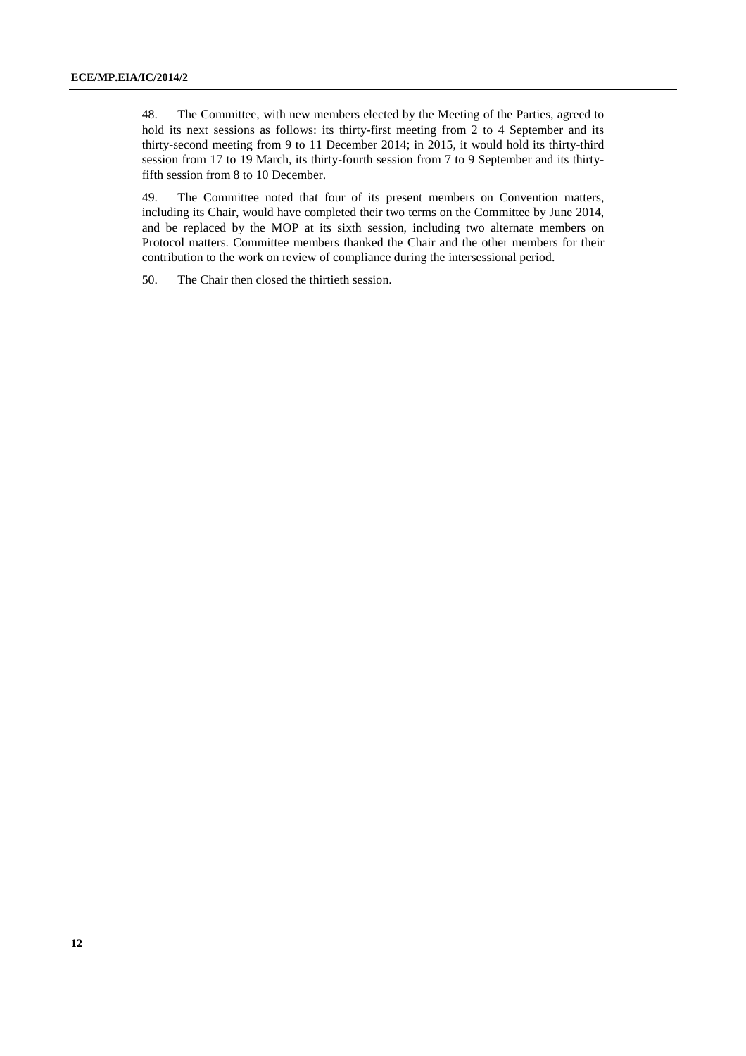48. The Committee, with new members elected by the Meeting of the Parties, agreed to hold its next sessions as follows: its thirty-first meeting from 2 to 4 September and its thirty-second meeting from 9 to 11 December 2014; in 2015, it would hold its thirty-third session from 17 to 19 March, its thirty-fourth session from 7 to 9 September and its thirtyfifth session from 8 to 10 December.

49. The Committee noted that four of its present members on Convention matters, including its Chair, would have completed their two terms on the Committee by June 2014, and be replaced by the MOP at its sixth session, including two alternate members on Protocol matters. Committee members thanked the Chair and the other members for their contribution to the work on review of compliance during the intersessional period.

50. The Chair then closed the thirtieth session.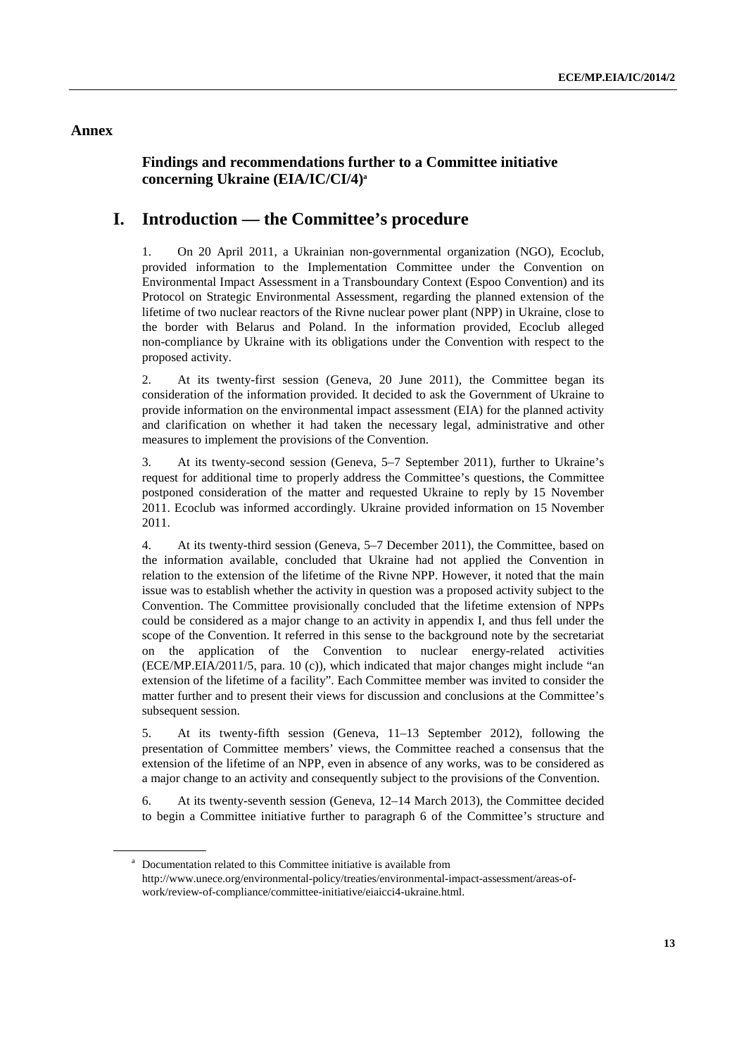### **Annex**

### **Findings and recommendations further to a Committee initiative concerning Ukraine (EIA/IC/CI/4)a**

### **I. Introduction — the Committee's procedure**

1. On 20 April 2011, a Ukrainian non-governmental organization (NGO), Ecoclub, provided information to the Implementation Committee under the Convention on Environmental Impact Assessment in a Transboundary Context (Espoo Convention) and its Protocol on Strategic Environmental Assessment, regarding the planned extension of the lifetime of two nuclear reactors of the Rivne nuclear power plant (NPP) in Ukraine, close to the border with Belarus and Poland. In the information provided, Ecoclub alleged non-compliance by Ukraine with its obligations under the Convention with respect to the proposed activity.

2. At its twenty-first session (Geneva, 20 June 2011), the Committee began its consideration of the information provided. It decided to ask the Government of Ukraine to provide information on the environmental impact assessment (EIA) for the planned activity and clarification on whether it had taken the necessary legal, administrative and other measures to implement the provisions of the Convention.

3. At its twenty-second session (Geneva, 5–7 September 2011), further to Ukraine's request for additional time to properly address the Committee's questions, the Committee postponed consideration of the matter and requested Ukraine to reply by 15 November 2011. Ecoclub was informed accordingly. Ukraine provided information on 15 November 2011.

4. At its twenty-third session (Geneva, 5–7 December 2011), the Committee, based on the information available, concluded that Ukraine had not applied the Convention in relation to the extension of the lifetime of the Rivne NPP. However, it noted that the main issue was to establish whether the activity in question was a proposed activity subject to the Convention. The Committee provisionally concluded that the lifetime extension of NPPs could be considered as a major change to an activity in appendix I, and thus fell under the scope of the Convention. It referred in this sense to the background note by the secretariat on the application of the Convention to nuclear energy-related activities (ECE/MP.EIA/2011/5, para. 10 (c)), which indicated that major changes might include "an extension of the lifetime of a facility". Each Committee member was invited to consider the matter further and to present their views for discussion and conclusions at the Committee's subsequent session.

5. At its twenty-fifth session (Geneva, 11–13 September 2012), following the presentation of Committee members' views, the Committee reached a consensus that the extension of the lifetime of an NPP, even in absence of any works, was to be considered as a major change to an activity and consequently subject to the provisions of the Convention.

6. At its twenty-seventh session (Geneva, 12–14 March 2013), the Committee decided to begin a Committee initiative further to paragraph 6 of the Committee's structure and

<sup>&</sup>lt;sup>a</sup> Documentation related to this Committee initiative is available from http://www.unece.org/environmental-policy/treaties/environmental-impact-assessment/areas-ofwork/review-of-compliance/committee-initiative/eiaicci4-ukraine.html.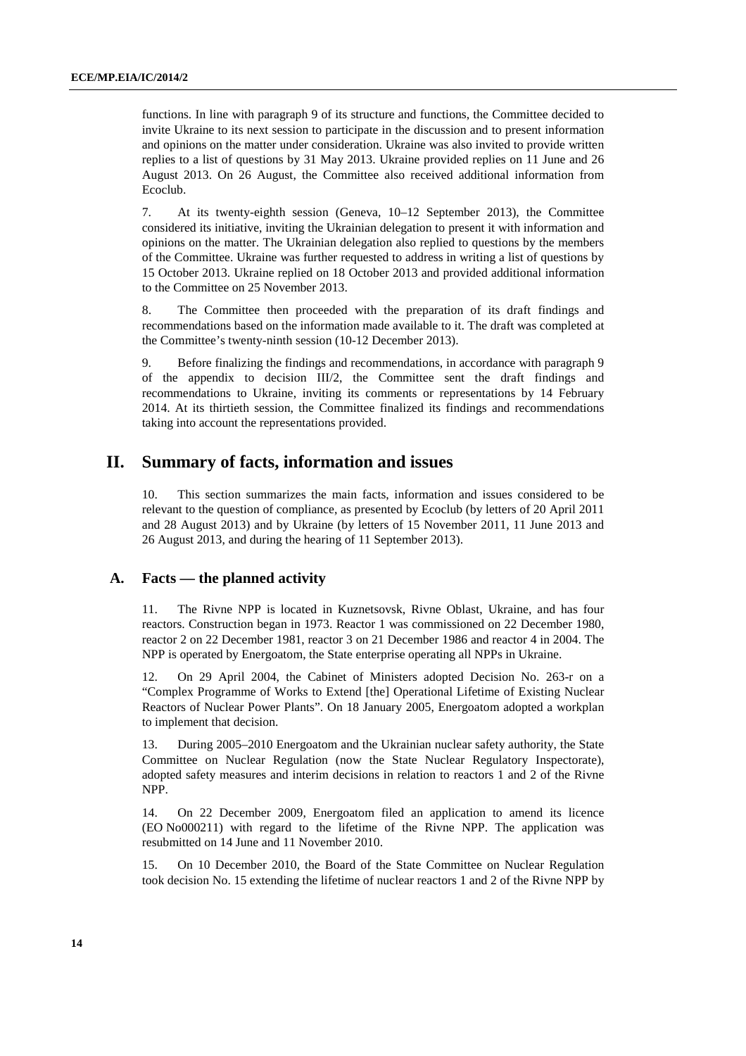functions. In line with paragraph 9 of its structure and functions, the Committee decided to invite Ukraine to its next session to participate in the discussion and to present information and opinions on the matter under consideration. Ukraine was also invited to provide written replies to a list of questions by 31 May 2013. Ukraine provided replies on 11 June and 26 August 2013. On 26 August, the Committee also received additional information from Ecoclub.

7. At its twenty-eighth session (Geneva, 10–12 September 2013), the Committee considered its initiative, inviting the Ukrainian delegation to present it with information and opinions on the matter. The Ukrainian delegation also replied to questions by the members of the Committee. Ukraine was further requested to address in writing a list of questions by 15 October 2013. Ukraine replied on 18 October 2013 and provided additional information to the Committee on 25 November 2013.

8. The Committee then proceeded with the preparation of its draft findings and recommendations based on the information made available to it. The draft was completed at the Committee's twenty-ninth session (10-12 December 2013).

9. Before finalizing the findings and recommendations, in accordance with paragraph 9 of the appendix to decision III/2, the Committee sent the draft findings and recommendations to Ukraine, inviting its comments or representations by 14 February 2014. At its thirtieth session, the Committee finalized its findings and recommendations taking into account the representations provided.

### **II. Summary of facts, information and issues**

10. This section summarizes the main facts, information and issues considered to be relevant to the question of compliance, as presented by Ecoclub (by letters of 20 April 2011 and 28 August 2013) and by Ukraine (by letters of 15 November 2011, 11 June 2013 and 26 August 2013, and during the hearing of 11 September 2013).

### **A. Facts — the planned activity**

11. The Rivne NPP is located in Kuznetsovsk, Rivne Oblast, Ukraine, and has four reactors. Construction began in 1973. Reactor 1 was commissioned on 22 December 1980, reactor 2 on 22 December 1981, reactor 3 on 21 December 1986 and reactor 4 in 2004. The NPP is operated by Energoatom, the State enterprise operating all NPPs in Ukraine.

12. On 29 April 2004, the Cabinet of Ministers adopted Decision No. 263-r on a "Complex Programme of Works to Extend [the] Operational Lifetime of Existing Nuclear Reactors of Nuclear Power Plants". On 18 January 2005, Energoatom adopted a workplan to implement that decision.

13. During 2005–2010 Energoatom and the Ukrainian nuclear safety authority, the State Committee on Nuclear Regulation (now the State Nuclear Regulatory Inspectorate), adopted safety measures and interim decisions in relation to reactors 1 and 2 of the Rivne NPP.

14. On 22 December 2009, Energoatom filed an application to amend its licence (EO No000211) with regard to the lifetime of the Rivne NPP. The application was resubmitted on 14 June and 11 November 2010.

15. On 10 December 2010, the Board of the State Committee on Nuclear Regulation took decision No. 15 extending the lifetime of nuclear reactors 1 and 2 of the Rivne NPP by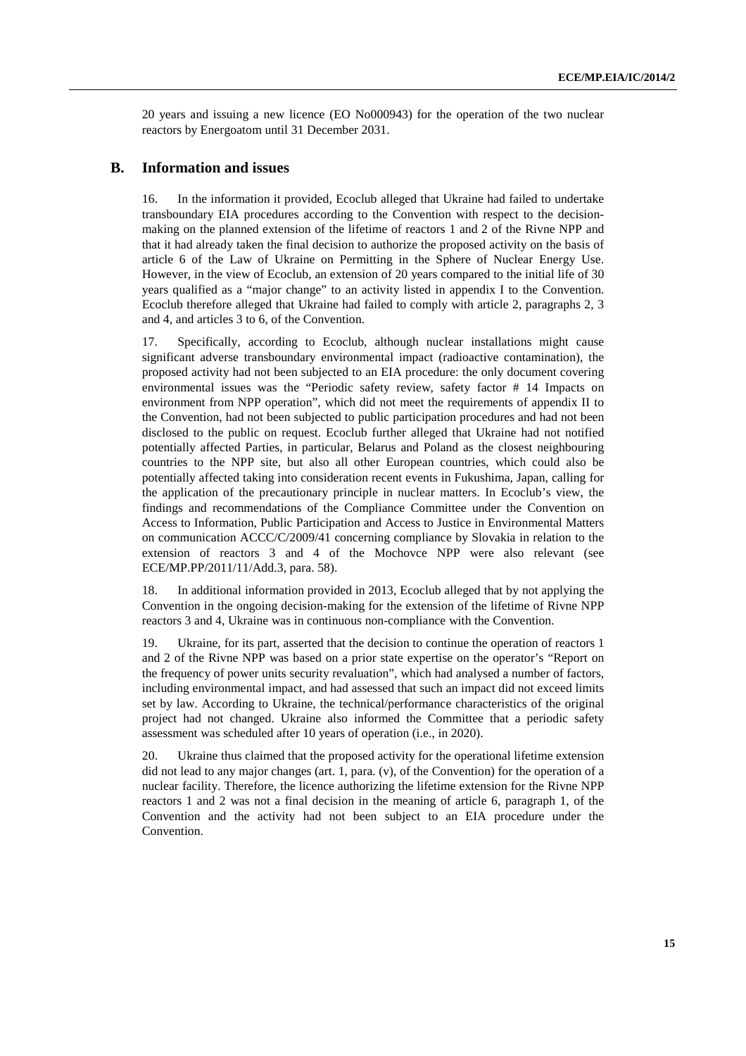20 years and issuing a new licence (EO No000943) for the operation of the two nuclear reactors by Energoatom until 31 December 2031.

### **B. Information and issues**

16. In the information it provided, Ecoclub alleged that Ukraine had failed to undertake transboundary EIA procedures according to the Convention with respect to the decisionmaking on the planned extension of the lifetime of reactors 1 and 2 of the Rivne NPP and that it had already taken the final decision to authorize the proposed activity on the basis of article 6 of the Law of Ukraine on Permitting in the Sphere of Nuclear Energy Use. However, in the view of Ecoclub, an extension of 20 years compared to the initial life of 30 years qualified as a "major change" to an activity listed in appendix I to the Convention. Ecoclub therefore alleged that Ukraine had failed to comply with article 2, paragraphs 2, 3 and 4, and articles 3 to 6, of the Convention.

17. Specifically, according to Ecoclub, although nuclear installations might cause significant adverse transboundary environmental impact (radioactive contamination), the proposed activity had not been subjected to an EIA procedure: the only document covering environmental issues was the "Periodic safety review, safety factor # 14 Impacts on environment from NPP operation", which did not meet the requirements of appendix II to the Convention, had not been subjected to public participation procedures and had not been disclosed to the public on request. Ecoclub further alleged that Ukraine had not notified potentially affected Parties, in particular, Belarus and Poland as the closest neighbouring countries to the NPP site, but also all other European countries, which could also be potentially affected taking into consideration recent events in Fukushima, Japan, calling for the application of the precautionary principle in nuclear matters. In Ecoclub's view, the findings and recommendations of the Compliance Committee under the Convention on Access to Information, Public Participation and Access to Justice in Environmental Matters on communication ACCC/C/2009/41 concerning compliance by Slovakia in relation to the extension of reactors 3 and 4 of the Mochovce NPP were also relevant (see ECE/MP.PP/2011/11/Add.3, para. 58).

18. In additional information provided in 2013, Ecoclub alleged that by not applying the Convention in the ongoing decision-making for the extension of the lifetime of Rivne NPP reactors 3 and 4, Ukraine was in continuous non-compliance with the Convention.

19. Ukraine, for its part, asserted that the decision to continue the operation of reactors 1 and 2 of the Rivne NPP was based on a prior state expertise on the operator's "Report on the frequency of power units security revaluation", which had analysed a number of factors, including environmental impact, and had assessed that such an impact did not exceed limits set by law. According to Ukraine, the technical/performance characteristics of the original project had not changed. Ukraine also informed the Committee that a periodic safety assessment was scheduled after 10 years of operation (i.e., in 2020).

20. Ukraine thus claimed that the proposed activity for the operational lifetime extension did not lead to any major changes (art. 1, para. (v), of the Convention) for the operation of a nuclear facility. Therefore, the licence authorizing the lifetime extension for the Rivne NPP reactors 1 and 2 was not a final decision in the meaning of article 6, paragraph 1, of the Convention and the activity had not been subject to an EIA procedure under the Convention.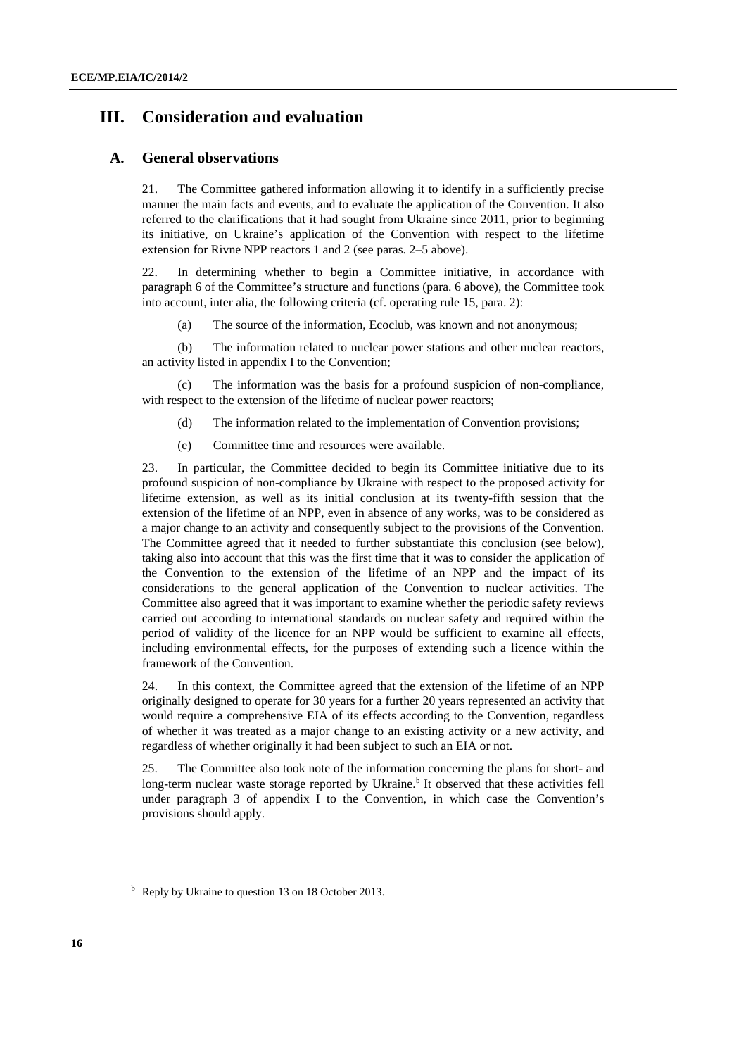### **III. Consideration and evaluation**

### **A. General observations**

21. The Committee gathered information allowing it to identify in a sufficiently precise manner the main facts and events, and to evaluate the application of the Convention. It also referred to the clarifications that it had sought from Ukraine since 2011, prior to beginning its initiative, on Ukraine's application of the Convention with respect to the lifetime extension for Rivne NPP reactors 1 and 2 (see paras. 2–5 above).

22. In determining whether to begin a Committee initiative, in accordance with paragraph 6 of the Committee's structure and functions (para. 6 above), the Committee took into account, inter alia, the following criteria (cf. operating rule 15, para. 2):

(a) The source of the information, Ecoclub, was known and not anonymous;

(b) The information related to nuclear power stations and other nuclear reactors, an activity listed in appendix I to the Convention;

(c) The information was the basis for a profound suspicion of non-compliance, with respect to the extension of the lifetime of nuclear power reactors;

- (d) The information related to the implementation of Convention provisions;
- (e) Committee time and resources were available.

23. In particular, the Committee decided to begin its Committee initiative due to its profound suspicion of non-compliance by Ukraine with respect to the proposed activity for lifetime extension, as well as its initial conclusion at its twenty-fifth session that the extension of the lifetime of an NPP, even in absence of any works, was to be considered as a major change to an activity and consequently subject to the provisions of the Convention. The Committee agreed that it needed to further substantiate this conclusion (see below), taking also into account that this was the first time that it was to consider the application of the Convention to the extension of the lifetime of an NPP and the impact of its considerations to the general application of the Convention to nuclear activities. The Committee also agreed that it was important to examine whether the periodic safety reviews carried out according to international standards on nuclear safety and required within the period of validity of the licence for an NPP would be sufficient to examine all effects, including environmental effects, for the purposes of extending such a licence within the framework of the Convention.

24. In this context, the Committee agreed that the extension of the lifetime of an NPP originally designed to operate for 30 years for a further 20 years represented an activity that would require a comprehensive EIA of its effects according to the Convention, regardless of whether it was treated as a major change to an existing activity or a new activity, and regardless of whether originally it had been subject to such an EIA or not.

25. The Committee also took note of the information concerning the plans for short- and long-term nuclear waste storage reported by Ukraine.<sup>b</sup> It observed that these activities fell under paragraph 3 of appendix I to the Convention, in which case the Convention's provisions should apply.

<sup>&</sup>lt;sup>b</sup> Reply by Ukraine to question 13 on 18 October 2013.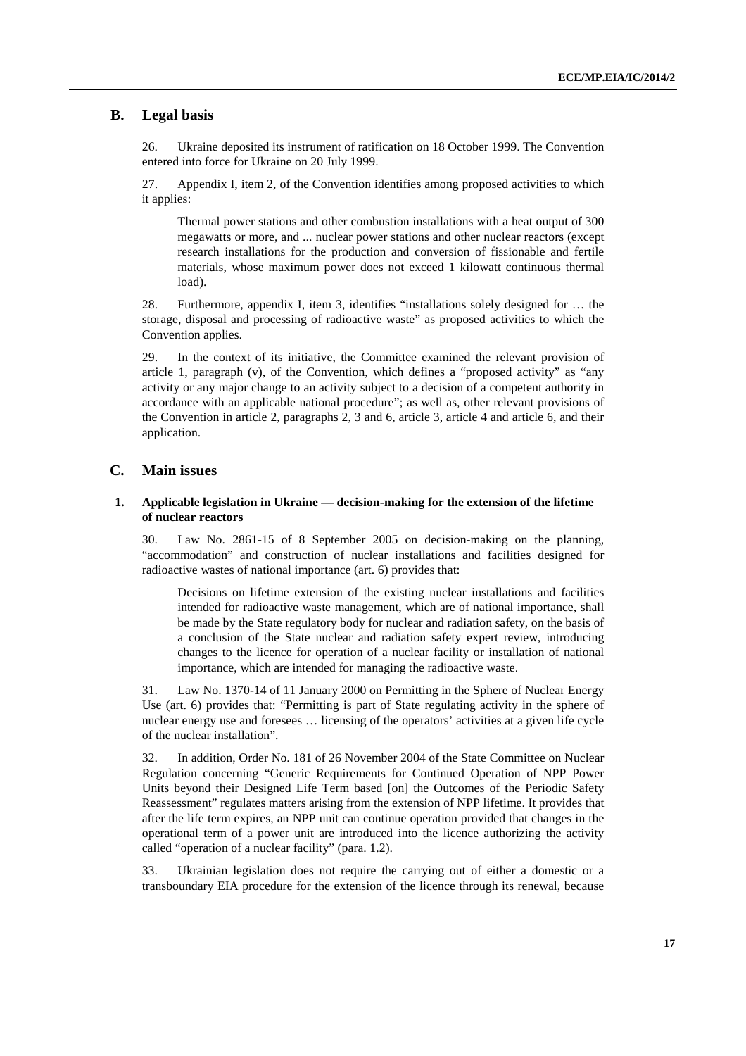### **B. Legal basis**

26. Ukraine deposited its instrument of ratification on 18 October 1999. The Convention entered into force for Ukraine on 20 July 1999.

27. Appendix I, item 2, of the Convention identifies among proposed activities to which it applies:

 Thermal power stations and other combustion installations with a heat output of 300 megawatts or more, and ... nuclear power stations and other nuclear reactors (except research installations for the production and conversion of fissionable and fertile materials, whose maximum power does not exceed 1 kilowatt continuous thermal load).

28. Furthermore, appendix I, item 3, identifies "installations solely designed for … the storage, disposal and processing of radioactive waste" as proposed activities to which the Convention applies.

29. In the context of its initiative, the Committee examined the relevant provision of article 1, paragraph (v), of the Convention, which defines a "proposed activity" as "any activity or any major change to an activity subject to a decision of a competent authority in accordance with an applicable national procedure"; as well as, other relevant provisions of the Convention in article 2, paragraphs 2, 3 and 6, article 3, article 4 and article 6, and their application.

### **C. Main issues**

#### **1. Applicable legislation in Ukraine — decision-making for the extension of the lifetime of nuclear reactors**

30. Law No. 2861-15 of 8 September 2005 on decision-making on the planning, "accommodation" and construction of nuclear installations and facilities designed for radioactive wastes of national importance (art. 6) provides that:

 Decisions on lifetime extension of the existing nuclear installations and facilities intended for radioactive waste management, which are of national importance, shall be made by the State regulatory body for nuclear and radiation safety, on the basis of a conclusion of the State nuclear and radiation safety expert review, introducing changes to the licence for operation of a nuclear facility or installation of national importance, which are intended for managing the radioactive waste.

31. Law No. 1370-14 of 11 January 2000 on Permitting in the Sphere of Nuclear Energy Use (art. 6) provides that: "Permitting is part of State regulating activity in the sphere of nuclear energy use and foresees … licensing of the operators' activities at a given life cycle of the nuclear installation".

32. In addition, Order No. 181 of 26 November 2004 of the State Committee on Nuclear Regulation concerning "Generic Requirements for Continued Operation of NPP Power Units beyond their Designed Life Term based [on] the Outcomes of the Periodic Safety Reassessment" regulates matters arising from the extension of NPP lifetime. It provides that after the life term expires, an NPP unit can continue operation provided that changes in the operational term of a power unit are introduced into the licence authorizing the activity called "operation of a nuclear facility" (para. 1.2).

33. Ukrainian legislation does not require the carrying out of either a domestic or a transboundary EIA procedure for the extension of the licence through its renewal, because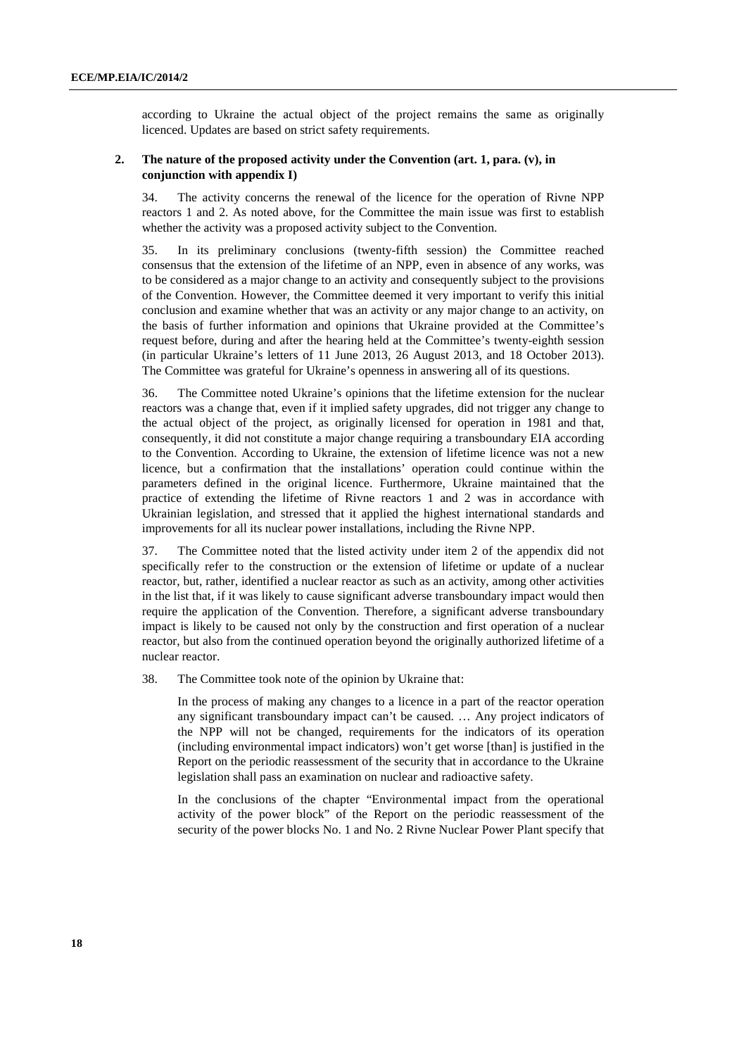according to Ukraine the actual object of the project remains the same as originally licenced. Updates are based on strict safety requirements.

### **2. The nature of the proposed activity under the Convention (art. 1, para. (v), in conjunction with appendix I)**

34. The activity concerns the renewal of the licence for the operation of Rivne NPP reactors 1 and 2. As noted above, for the Committee the main issue was first to establish whether the activity was a proposed activity subject to the Convention.

35. In its preliminary conclusions (twenty-fifth session) the Committee reached consensus that the extension of the lifetime of an NPP, even in absence of any works, was to be considered as a major change to an activity and consequently subject to the provisions of the Convention. However, the Committee deemed it very important to verify this initial conclusion and examine whether that was an activity or any major change to an activity, on the basis of further information and opinions that Ukraine provided at the Committee's request before, during and after the hearing held at the Committee's twenty-eighth session (in particular Ukraine's letters of 11 June 2013, 26 August 2013, and 18 October 2013). The Committee was grateful for Ukraine's openness in answering all of its questions.

36. The Committee noted Ukraine's opinions that the lifetime extension for the nuclear reactors was a change that, even if it implied safety upgrades, did not trigger any change to the actual object of the project, as originally licensed for operation in 1981 and that, consequently, it did not constitute a major change requiring a transboundary EIA according to the Convention. According to Ukraine, the extension of lifetime licence was not a new licence, but a confirmation that the installations' operation could continue within the parameters defined in the original licence. Furthermore, Ukraine maintained that the practice of extending the lifetime of Rivne reactors 1 and 2 was in accordance with Ukrainian legislation, and stressed that it applied the highest international standards and improvements for all its nuclear power installations, including the Rivne NPP.

37. The Committee noted that the listed activity under item 2 of the appendix did not specifically refer to the construction or the extension of lifetime or update of a nuclear reactor, but, rather, identified a nuclear reactor as such as an activity, among other activities in the list that, if it was likely to cause significant adverse transboundary impact would then require the application of the Convention. Therefore, a significant adverse transboundary impact is likely to be caused not only by the construction and first operation of a nuclear reactor, but also from the continued operation beyond the originally authorized lifetime of a nuclear reactor.

38. The Committee took note of the opinion by Ukraine that:

In the process of making any changes to a licence in a part of the reactor operation any significant transboundary impact can't be caused. … Any project indicators of the NPP will not be changed, requirements for the indicators of its operation (including environmental impact indicators) won't get worse [than] is justified in the Report on the periodic reassessment of the security that in accordance to the Ukraine legislation shall pass an examination on nuclear and radioactive safety.

In the conclusions of the chapter "Environmental impact from the operational activity of the power block" of the Report on the periodic reassessment of the security of the power blocks No. 1 and No. 2 Rivne Nuclear Power Plant specify that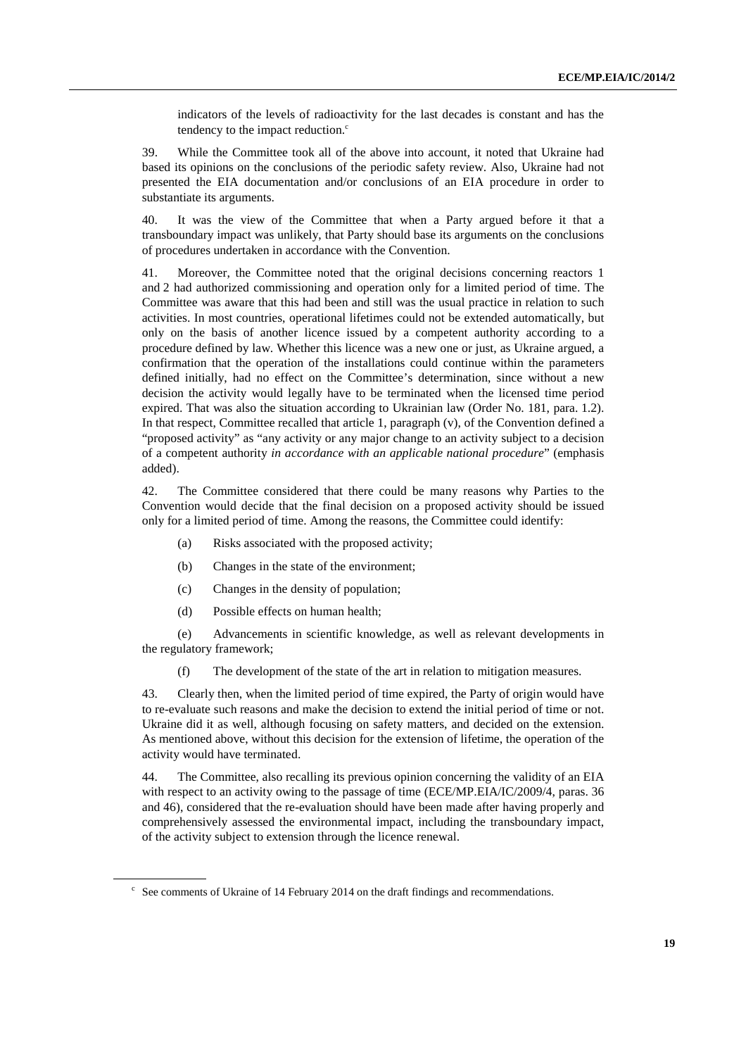indicators of the levels of radioactivity for the last decades is constant and has the tendency to the impact reduction. $c$ 

39. While the Committee took all of the above into account, it noted that Ukraine had based its opinions on the conclusions of the periodic safety review. Also, Ukraine had not presented the EIA documentation and/or conclusions of an EIA procedure in order to substantiate its arguments.

40. It was the view of the Committee that when a Party argued before it that a transboundary impact was unlikely, that Party should base its arguments on the conclusions of procedures undertaken in accordance with the Convention.

41. Moreover, the Committee noted that the original decisions concerning reactors 1 and 2 had authorized commissioning and operation only for a limited period of time. The Committee was aware that this had been and still was the usual practice in relation to such activities. In most countries, operational lifetimes could not be extended automatically, but only on the basis of another licence issued by a competent authority according to a procedure defined by law. Whether this licence was a new one or just, as Ukraine argued, a confirmation that the operation of the installations could continue within the parameters defined initially, had no effect on the Committee's determination, since without a new decision the activity would legally have to be terminated when the licensed time period expired. That was also the situation according to Ukrainian law (Order No. 181, para. 1.2). In that respect, Committee recalled that article 1, paragraph (v), of the Convention defined a "proposed activity" as "any activity or any major change to an activity subject to a decision of a competent authority *in accordance with an applicable national procedure*" (emphasis added).

42. The Committee considered that there could be many reasons why Parties to the Convention would decide that the final decision on a proposed activity should be issued only for a limited period of time. Among the reasons, the Committee could identify:

- (a) Risks associated with the proposed activity;
- (b) Changes in the state of the environment;
- (c) Changes in the density of population;
- (d) Possible effects on human health;

(e) Advancements in scientific knowledge, as well as relevant developments in the regulatory framework;

(f) The development of the state of the art in relation to mitigation measures.

43. Clearly then, when the limited period of time expired, the Party of origin would have to re-evaluate such reasons and make the decision to extend the initial period of time or not. Ukraine did it as well, although focusing on safety matters, and decided on the extension. As mentioned above, without this decision for the extension of lifetime, the operation of the activity would have terminated.

44. The Committee, also recalling its previous opinion concerning the validity of an EIA with respect to an activity owing to the passage of time (ECE/MP.EIA/IC/2009/4, paras. 36 and 46), considered that the re-evaluation should have been made after having properly and comprehensively assessed the environmental impact, including the transboundary impact, of the activity subject to extension through the licence renewal.

 $\degree$  See comments of Ukraine of 14 February 2014 on the draft findings and recommendations.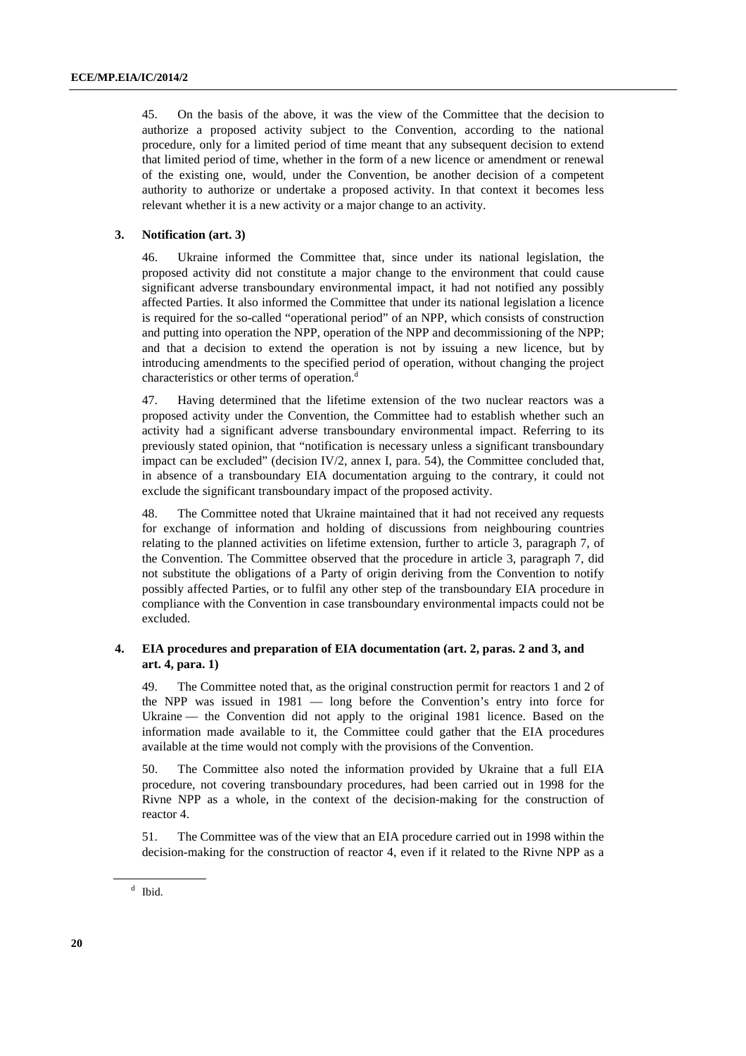45. On the basis of the above, it was the view of the Committee that the decision to authorize a proposed activity subject to the Convention, according to the national procedure, only for a limited period of time meant that any subsequent decision to extend that limited period of time, whether in the form of a new licence or amendment or renewal of the existing one, would, under the Convention, be another decision of a competent authority to authorize or undertake a proposed activity. In that context it becomes less relevant whether it is a new activity or a major change to an activity.

#### **3. Notification (art. 3)**

46. Ukraine informed the Committee that, since under its national legislation, the proposed activity did not constitute a major change to the environment that could cause significant adverse transboundary environmental impact, it had not notified any possibly affected Parties. It also informed the Committee that under its national legislation a licence is required for the so-called "operational period" of an NPP, which consists of construction and putting into operation the NPP, operation of the NPP and decommissioning of the NPP; and that a decision to extend the operation is not by issuing a new licence, but by introducing amendments to the specified period of operation, without changing the project characteristics or other terms of operation.<sup>d</sup>

47. Having determined that the lifetime extension of the two nuclear reactors was a proposed activity under the Convention, the Committee had to establish whether such an activity had a significant adverse transboundary environmental impact. Referring to its previously stated opinion, that "notification is necessary unless a significant transboundary impact can be excluded" (decision IV/2, annex I, para. 54), the Committee concluded that, in absence of a transboundary EIA documentation arguing to the contrary, it could not exclude the significant transboundary impact of the proposed activity.

48. The Committee noted that Ukraine maintained that it had not received any requests for exchange of information and holding of discussions from neighbouring countries relating to the planned activities on lifetime extension, further to article 3, paragraph 7, of the Convention. The Committee observed that the procedure in article 3, paragraph 7, did not substitute the obligations of a Party of origin deriving from the Convention to notify possibly affected Parties, or to fulfil any other step of the transboundary EIA procedure in compliance with the Convention in case transboundary environmental impacts could not be excluded.

#### **4. EIA procedures and preparation of EIA documentation (art. 2, paras. 2 and 3, and art. 4, para. 1)**

49. The Committee noted that, as the original construction permit for reactors 1 and 2 of the NPP was issued in 1981 — long before the Convention's entry into force for Ukraine — the Convention did not apply to the original 1981 licence. Based on the information made available to it, the Committee could gather that the EIA procedures available at the time would not comply with the provisions of the Convention.

50. The Committee also noted the information provided by Ukraine that a full EIA procedure, not covering transboundary procedures, had been carried out in 1998 for the Rivne NPP as a whole, in the context of the decision-making for the construction of reactor 4.

51. The Committee was of the view that an EIA procedure carried out in 1998 within the decision-making for the construction of reactor 4, even if it related to the Rivne NPP as a

<sup>&</sup>lt;sup>d</sup> Ibid.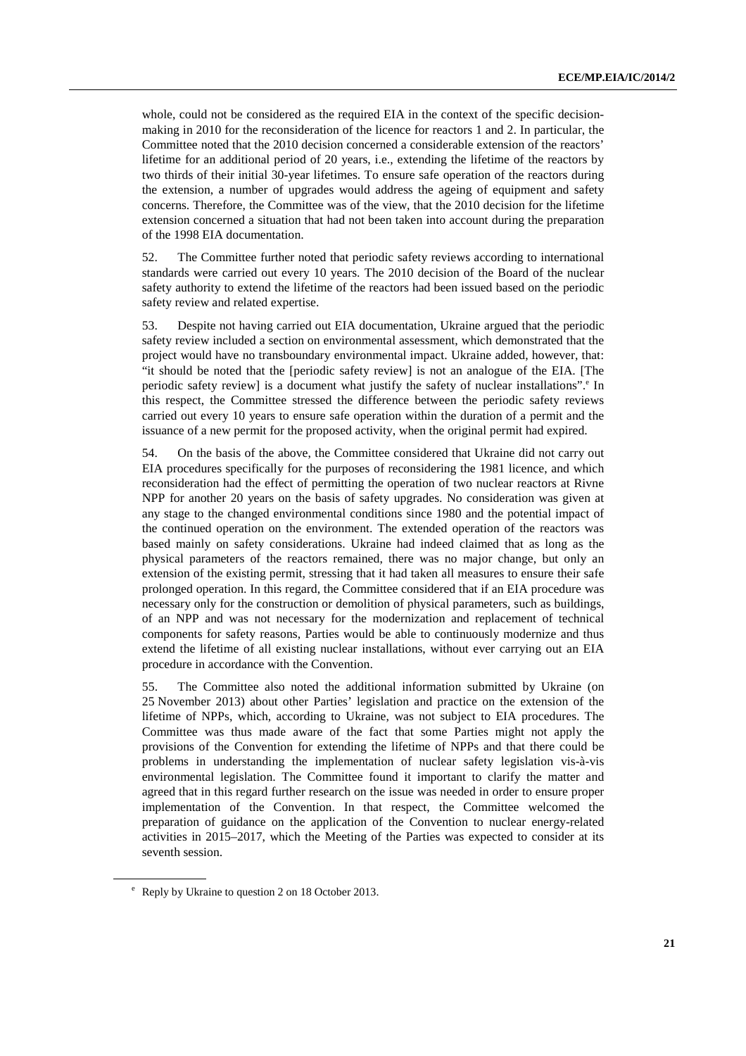whole, could not be considered as the required EIA in the context of the specific decisionmaking in 2010 for the reconsideration of the licence for reactors 1 and 2. In particular, the Committee noted that the 2010 decision concerned a considerable extension of the reactors' lifetime for an additional period of 20 years, i.e., extending the lifetime of the reactors by two thirds of their initial 30-year lifetimes. To ensure safe operation of the reactors during the extension, a number of upgrades would address the ageing of equipment and safety concerns. Therefore, the Committee was of the view, that the 2010 decision for the lifetime extension concerned a situation that had not been taken into account during the preparation of the 1998 EIA documentation.

52. The Committee further noted that periodic safety reviews according to international standards were carried out every 10 years. The 2010 decision of the Board of the nuclear safety authority to extend the lifetime of the reactors had been issued based on the periodic safety review and related expertise.

53. Despite not having carried out EIA documentation, Ukraine argued that the periodic safety review included a section on environmental assessment, which demonstrated that the project would have no transboundary environmental impact. Ukraine added, however, that: "it should be noted that the [periodic safety review] is not an analogue of the EIA. [The periodic safety review] is a document what justify the safety of nuclear installations".<sup>e</sup> In this respect, the Committee stressed the difference between the periodic safety reviews carried out every 10 years to ensure safe operation within the duration of a permit and the issuance of a new permit for the proposed activity, when the original permit had expired.

54. On the basis of the above, the Committee considered that Ukraine did not carry out EIA procedures specifically for the purposes of reconsidering the 1981 licence, and which reconsideration had the effect of permitting the operation of two nuclear reactors at Rivne NPP for another 20 years on the basis of safety upgrades. No consideration was given at any stage to the changed environmental conditions since 1980 and the potential impact of the continued operation on the environment. The extended operation of the reactors was based mainly on safety considerations. Ukraine had indeed claimed that as long as the physical parameters of the reactors remained, there was no major change, but only an extension of the existing permit, stressing that it had taken all measures to ensure their safe prolonged operation. In this regard, the Committee considered that if an EIA procedure was necessary only for the construction or demolition of physical parameters, such as buildings, of an NPP and was not necessary for the modernization and replacement of technical components for safety reasons, Parties would be able to continuously modernize and thus extend the lifetime of all existing nuclear installations, without ever carrying out an EIA procedure in accordance with the Convention.

55. The Committee also noted the additional information submitted by Ukraine (on 25 November 2013) about other Parties' legislation and practice on the extension of the lifetime of NPPs, which, according to Ukraine, was not subject to EIA procedures. The Committee was thus made aware of the fact that some Parties might not apply the provisions of the Convention for extending the lifetime of NPPs and that there could be problems in understanding the implementation of nuclear safety legislation vis-à-vis environmental legislation. The Committee found it important to clarify the matter and agreed that in this regard further research on the issue was needed in order to ensure proper implementation of the Convention. In that respect, the Committee welcomed the preparation of guidance on the application of the Convention to nuclear energy-related activities in 2015–2017, which the Meeting of the Parties was expected to consider at its seventh session.

e Reply by Ukraine to question 2 on 18 October 2013.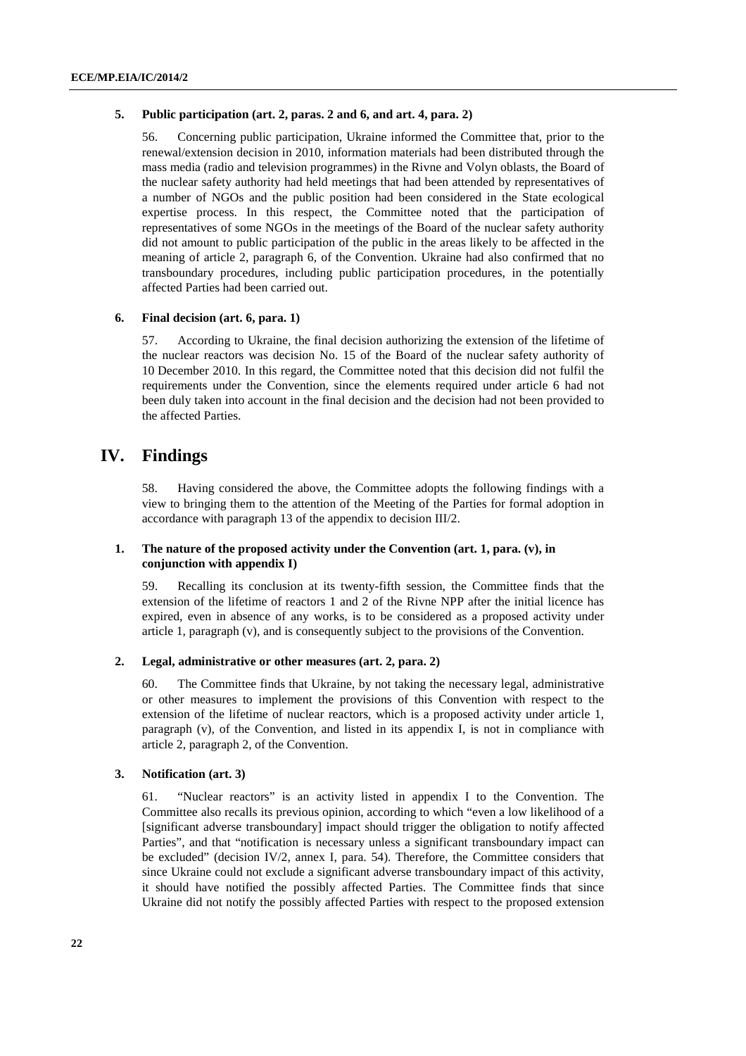#### **5. Public participation (art. 2, paras. 2 and 6, and art. 4, para. 2)**

56. Concerning public participation, Ukraine informed the Committee that, prior to the renewal/extension decision in 2010, information materials had been distributed through the mass media (radio and television programmes) in the Rivne and Volyn oblasts, the Board of the nuclear safety authority had held meetings that had been attended by representatives of a number of NGOs and the public position had been considered in the State ecological expertise process. In this respect, the Committee noted that the participation of representatives of some NGOs in the meetings of the Board of the nuclear safety authority did not amount to public participation of the public in the areas likely to be affected in the meaning of article 2, paragraph 6, of the Convention. Ukraine had also confirmed that no transboundary procedures, including public participation procedures, in the potentially affected Parties had been carried out.

### **6. Final decision (art. 6, para. 1)**

57. According to Ukraine, the final decision authorizing the extension of the lifetime of the nuclear reactors was decision No. 15 of the Board of the nuclear safety authority of 10 December 2010. In this regard, the Committee noted that this decision did not fulfil the requirements under the Convention, since the elements required under article 6 had not been duly taken into account in the final decision and the decision had not been provided to the affected Parties.

### **IV. Findings**

58. Having considered the above, the Committee adopts the following findings with a view to bringing them to the attention of the Meeting of the Parties for formal adoption in accordance with paragraph 13 of the appendix to decision III/2.

#### **1. The nature of the proposed activity under the Convention (art. 1, para. (v), in conjunction with appendix I)**

59. Recalling its conclusion at its twenty-fifth session, the Committee finds that the extension of the lifetime of reactors 1 and 2 of the Rivne NPP after the initial licence has expired, even in absence of any works, is to be considered as a proposed activity under article 1, paragraph (v), and is consequently subject to the provisions of the Convention.

### **2. Legal, administrative or other measures (art. 2, para. 2)**

60. The Committee finds that Ukraine, by not taking the necessary legal, administrative or other measures to implement the provisions of this Convention with respect to the extension of the lifetime of nuclear reactors, which is a proposed activity under article 1, paragraph (v), of the Convention, and listed in its appendix I, is not in compliance with article 2, paragraph 2, of the Convention.

### **3. Notification (art. 3)**

61. "Nuclear reactors" is an activity listed in appendix I to the Convention. The Committee also recalls its previous opinion, according to which "even a low likelihood of a [significant adverse transboundary] impact should trigger the obligation to notify affected Parties", and that "notification is necessary unless a significant transboundary impact can be excluded" (decision IV/2, annex I, para. 54). Therefore, the Committee considers that since Ukraine could not exclude a significant adverse transboundary impact of this activity, it should have notified the possibly affected Parties. The Committee finds that since Ukraine did not notify the possibly affected Parties with respect to the proposed extension